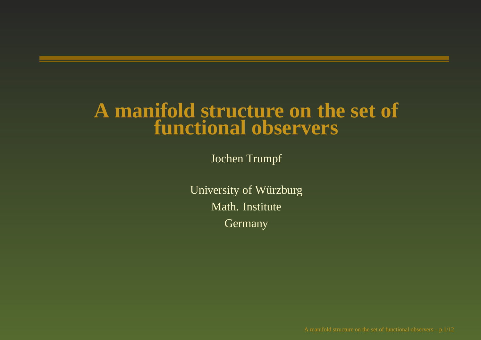#### **A manifold structure on the set of functional observers**

Jochen Trumpf

University of Würzburg Math. Institute Germany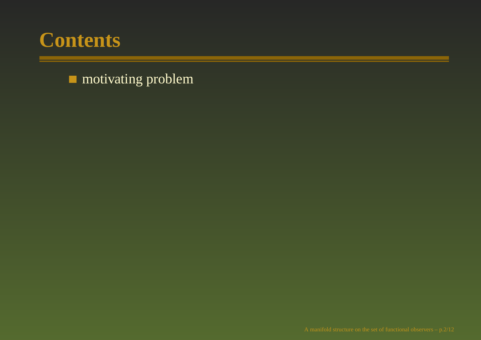

**n** motivating problem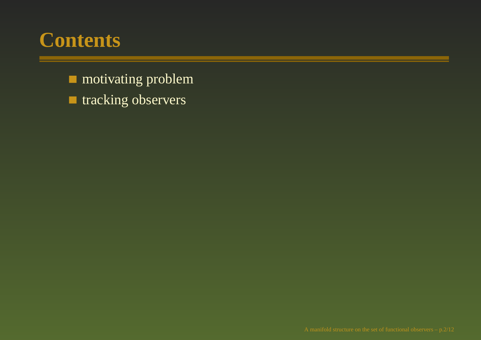**n** motivating problem **tracking observers**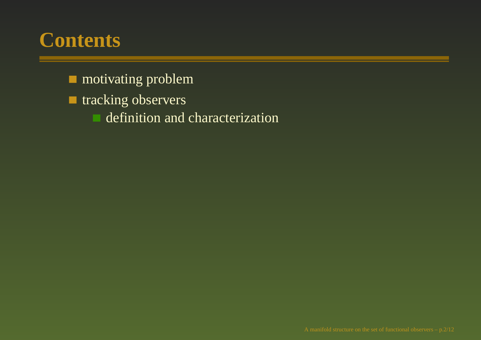- **n** motivating problem
- **tracking observers** 
	- definition and characterization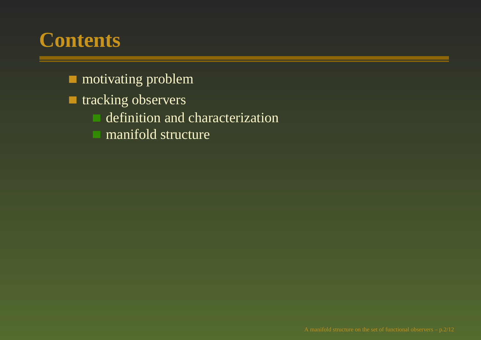- **n** motivating problem
- **the tracking observers** 
	- definition and characterization
	- manifold structure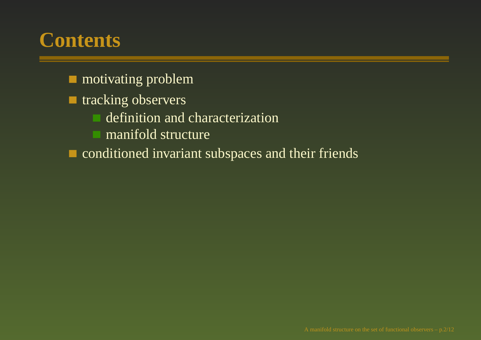- **n** motivating problem
- **tracking observers** 
	- definition and characterization
	- manifold structure
- conditioned invariant subspaces and their friends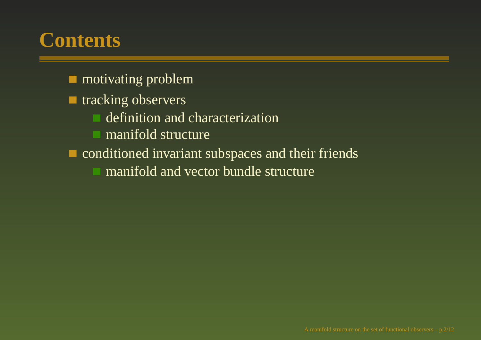- **n** motivating problem
- **tracking observers** 
	- definition and characterization
	- manifold structure
- conditioned invariant subspaces and their friends
	- manifold and vector bundle structure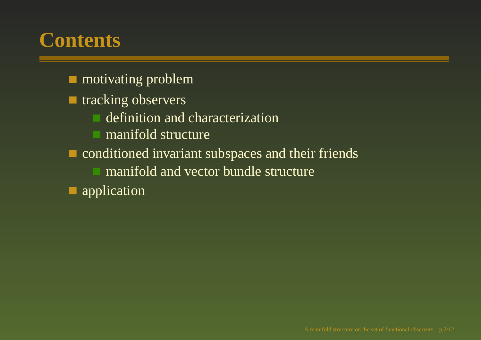- **n** motivating problem
- **tracking observers** 
	- definition and characterization
	- manifold structure
- conditioned invariant subspaces and their friends
	- manifold and vector bundle structure
- application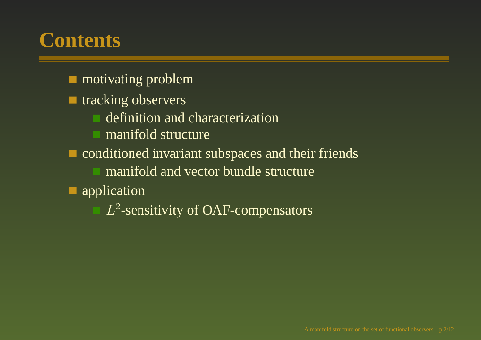- **n** motivating problem
- **tracking observers** 
	- definition and characterization
	- manifold structure
- conditioned invariant subspaces and their friends
	- manifold and vector bundle structure
- application
	- $L^2$ -sensitivity of OAF-compensators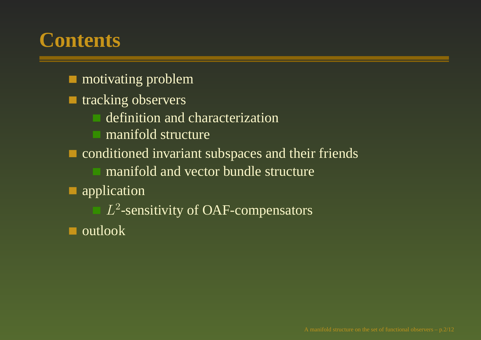- **n** motivating problem
- **tracking observers** 
	- definition and characterization
	- manifold structure
- conditioned invariant subspaces and their friends
	- manifold and vector bundle structure
- application
	- $L^2$ -sensitivity of OAF-compensators
- outlook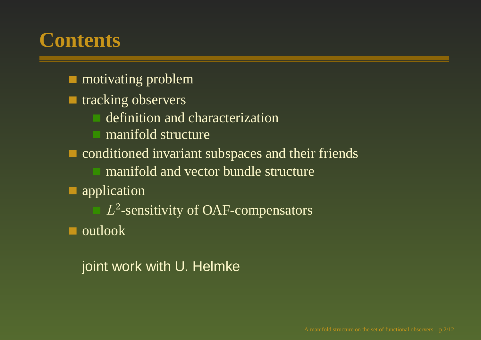- **n** motivating problem
- **tracking observers** 
	- definition and characterization
	- manifold structure
- conditioned invariant subspaces and their friends
	- manifold and vector bundle structure
- application
	- $L^2$ -sensitivity of OAF-compensators
- outlook

joint work with U. Helmke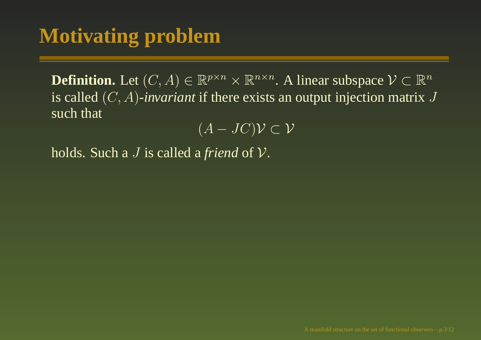**Definition.** Let  $(C, A) \in \mathbb{R}^{p \times n} \times \mathbb{R}^{n \times n}$ . A linear subspace  $V \subset \mathbb{R}^n$ is called (C, A)*-invariant* if there exists an output injection matrix J such that

 $\overline{(A-JC)}\mathcal{V}\subset \mathcal{V}$ 

holds. Such <sup>a</sup> J is called <sup>a</sup> *friend* of V.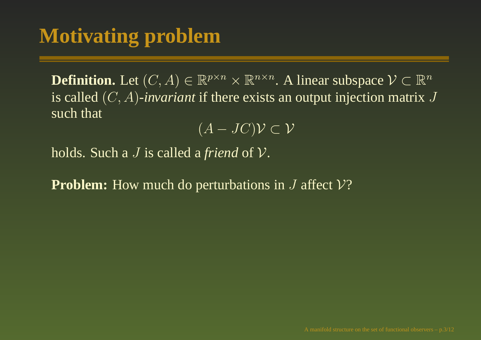**Definition.** Let  $(C, A) \in \mathbb{R}^{p \times n} \times \mathbb{R}^{n \times n}$ . A linear subspace  $\mathcal{V} \subset \mathbb{R}^n$ is called (C, A)*-invariant* if there exists an output injection matrix J such that

 $\overline{(A-JC)}\mathcal{V}\subset \mathcal{V}$ 

holds. Such <sup>a</sup> J is called <sup>a</sup> *friend* of V.

**Problem:** How much do perturbations in J affect V?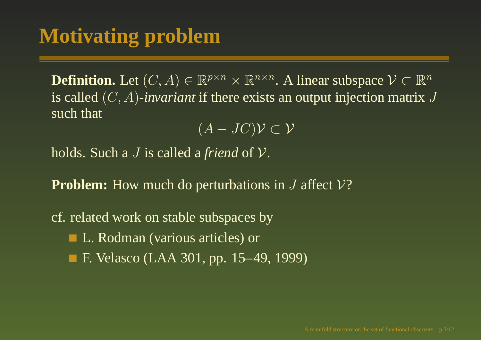**Definition.** Let  $(C, A) \in \mathbb{R}^{p \times n} \times \mathbb{R}^{n \times n}$ . A linear subspace  $V \subset \mathbb{R}^n$ is called (C, A)*-invariant* if there exists an output injection matrix J such that

 $\overline{(A-JC)}\mathcal{V}\subset \mathcal{V}$ 

holds. Such <sup>a</sup> J is called <sup>a</sup> *friend* of V.

**Problem:** How much do perturbations in J affect V?

cf. related work on stable subspaces by L. Rodman (various articles) or F. Velasco (LAA 301, pp. 15–49, 1999)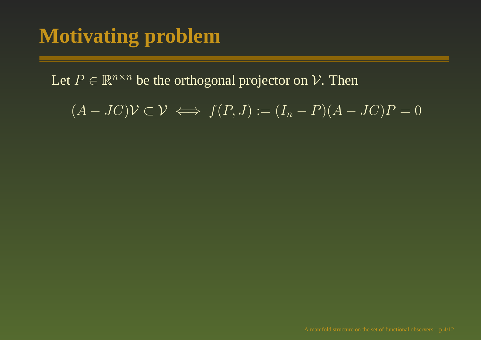Let  $P \in \mathbb{R}^{n \times n}$  be the orthogonal projector on  $\mathcal{V}.$  Then

 $(A - JC)\mathcal{V} \subset \mathcal{V} \iff f(P, J) := (I_n - P)(A - JC)P = 0$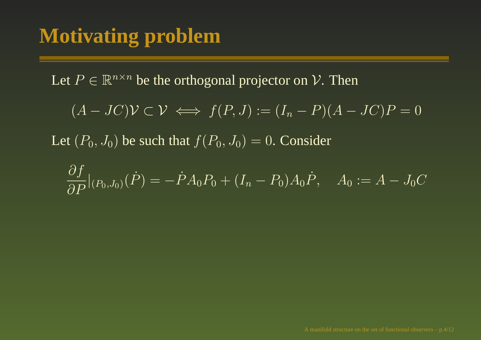Let  $P \in \mathbb{R}^{n \times n}$  be the orthogonal projector on  $\mathcal{V}.$  Then

$$
(A-JC)\mathcal{V} \subset \mathcal{V} \iff f(P,J) := (I_n - P)(A - JC)P = 0
$$

Let  $(P_0, J_0)$  be such that  $f(P_0, J_0) = 0$ . Consider

$$
\frac{\partial f}{\partial P}|_{(P_0, J_0)}(\dot{P}) = -\dot{P}A_0 P_0 + (I_n - P_0)A_0 \dot{P}, \quad A_0 := A - J_0 C
$$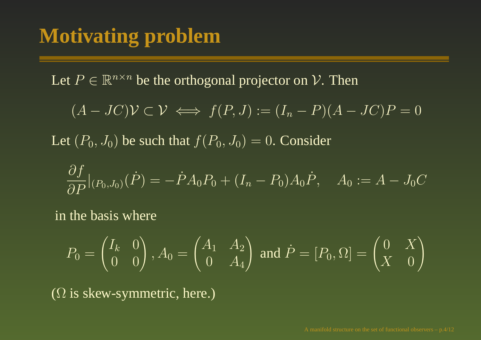Let  $P \in \mathbb{R}^{n \times n}$  be the orthogonal projector on  $\mathcal{V}.$  Then

$$
(A-JC)\mathcal{V} \subset \mathcal{V} \iff f(P,J) := (I_n - P)(A - JC)P = 0
$$

Let  $(P_0, J_0)$  be such that  $f(P_0, J_0) = 0$ . Consider

$$
\frac{\partial f}{\partial P}|_{(P_0, J_0)}(\dot{P}) = -\dot{P}A_0 P_0 + (I_n - P_0)A_0 \dot{P}, \quad A_0 := A - J_0 C
$$

in the basis where

$$
P_0 = \begin{pmatrix} I_k & 0 \\ 0 & 0 \end{pmatrix}, A_0 = \begin{pmatrix} A_1 & A_2 \\ 0 & A_4 \end{pmatrix} \text{ and } \dot{P} = [P_0, \Omega] = \begin{pmatrix} 0 & X \\ X & 0 \end{pmatrix}
$$

 $(\Omega$  is skew-symmetric, here.)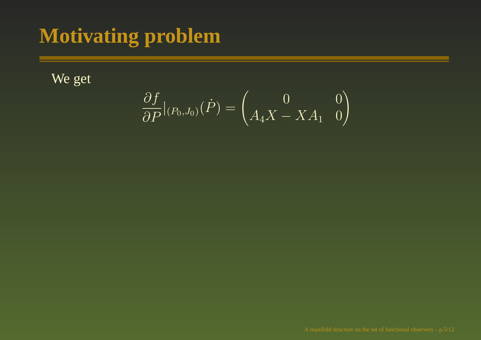We get

$$
\frac{\partial f}{\partial P}|_{(P_0,J_0)}(\dot{P})=\begin{pmatrix} 0 & 0 \\ A_4X-XA_1 & 0 \end{pmatrix}
$$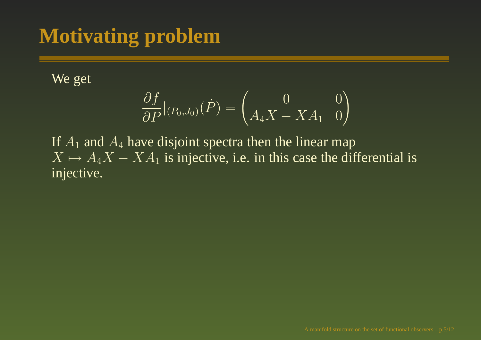We get

$$
\frac{\partial f}{\partial P}|_{(P_0, J_0)}(\dot{P}) = \begin{pmatrix} 0 & 0\\ A_4 X - X A_1 & 0 \end{pmatrix}
$$

If  $A_1$  and  $A_4$  have disjoint spectra then the linear map  $X \mapsto A_4X - XA_1$  is injective, i.e. in this case the differential is injective.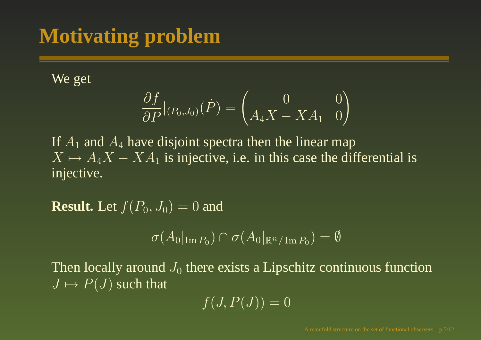We get

$$
\frac{\partial f}{\partial P}|_{(P_0, J_0)}(\dot{P}) = \begin{pmatrix} 0 & 0\\ A_4 X - X A_1 & 0 \end{pmatrix}
$$

If  $A_1$  and  $A_4$  have disjoint spectra then the linear map  $X \mapsto A_4X - XA_1$  is injective, i.e. in this case the differential is injective.

**Result.** Let  $f(P_0, J_0) = 0$  and

$$
\sigma(A_0|_{\text{Im }P_0}) \cap \sigma(A_0|_{\mathbb{R}^n/\text{Im }P_0}) = \emptyset
$$

Then locally around  $J_0$  there exists a Lipschitz continuous function  $J \mapsto P(J)$  such that

$$
f(J, P(J)) = 0
$$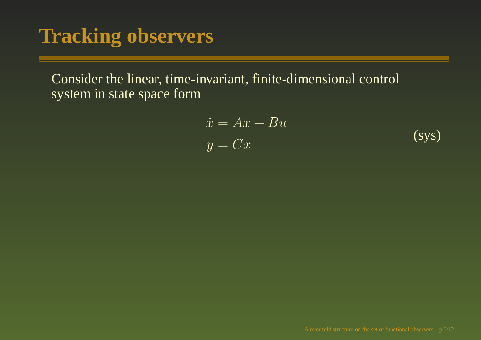Consider the linear, time-invariant, finite-dimensional control system in state space form

<span id="page-20-0"></span>
$$
\begin{aligned}\n\dot{x} &= Ax + Bu\\ \ny &= Cx\n\end{aligned} \tag{sys}
$$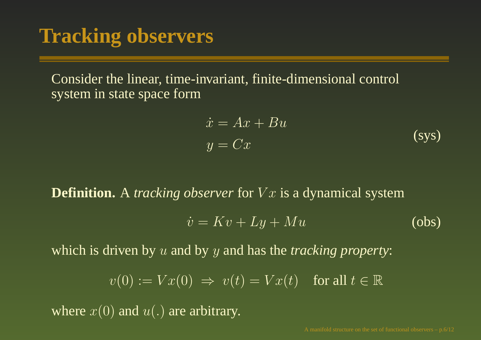Consider the linear, time-invariant, finite-dimensional control system in state space form

$$
\begin{aligned}\n\dot{x} &= Ax + Bu \\
y &= Cx\n\end{aligned} \tag{sys}
$$

**Definition.** A *tracking observer* for V <sup>x</sup> is <sup>a</sup> dynamical system

$$
\dot{v} = Kv + Ly + Mu \tag{obs}
$$

which is driven by <sup>u</sup> and by y and has the *tracking property*:

$$
v(0) := Vx(0) \implies v(t) = Vx(t) \quad \text{for all } t \in \mathbb{R}
$$

where  $x(0)$  and  $u(.)$  are arbitrary.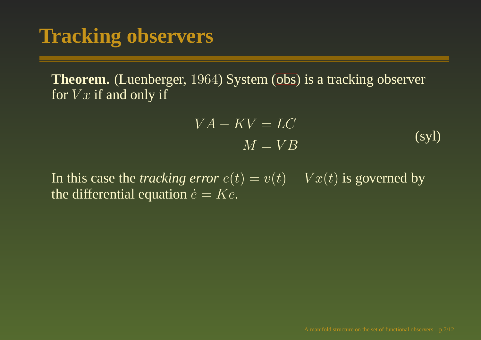**Theorem.** (Luenberger, 1964) Syst[em](#page-20-0) (obs) is <sup>a</sup> tracking observer for  $Vx$  if and only if

$$
VA - KV = LC
$$
  

$$
M = VB
$$
 (syl)

In this case the *tracking error*  $e(t) = v(t) - Vx(t)$  is governed by the differential equation  $\dot{e} = Ke$ .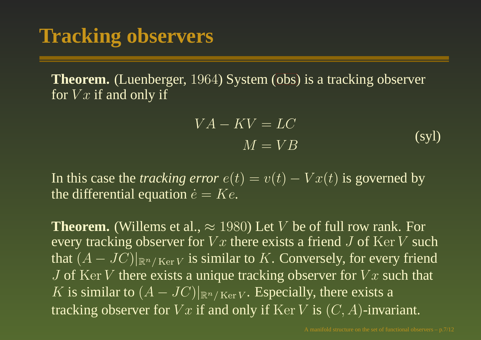**Theorem.** (Luenberger, 1964) Syst[em](#page-20-0) (obs) is <sup>a</sup> tracking observer for  $Vx$  if and only if

$$
VA - KV = LC
$$
  

$$
M = VB
$$
 (syl)

In this case the *tracking error*  $e(t) = v(t) - Vx(t)$  is governed by the differential equation  $\dot{e} = Ke$ .

**Theorem.** (Willems et al.,  $\approx 1980$ ) Let V be of full row rank. For every tracking observer for  $Vx$  there exists a friend J of Ker V such that  $(A-JC)|_{\mathbb{R}^n/\,\mathrm{Ker}\, V}$  is similar to  $K.$  Conversely, for every friend J of Ker V there exists a unique tracking observer for  $Vx$  such that K is similar to  $(A - JC)|_{\mathbb{R}^n/\mathop{\rm Ker} V}$ . Especially, there exists a tracking observer for  $Vx$  if and only if  $\text{Ker }V$  is  $(C, A)$ -invariant.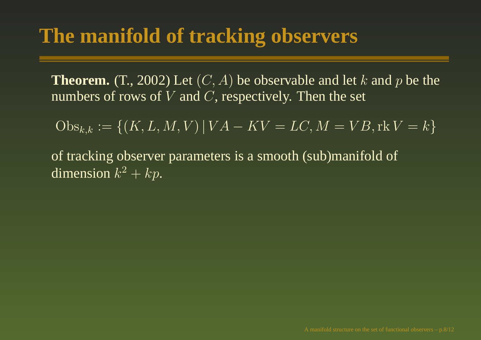**Theorem.** (T., 2002) Let  $(C, A)$  be observable and let k and p be the numbers of rows of  $V$  and  $C,$  respectively. Then the set

 $\overline{\mathrm{Obs}_{k,k}} := \{ (K, L, M, V) | VA - KV = LC, M = VB, \text{rk } V = k \}$ 

of tracking observer parameters is <sup>a</sup> smooth (sub)manifold of dimension  $k^2 + kp$ .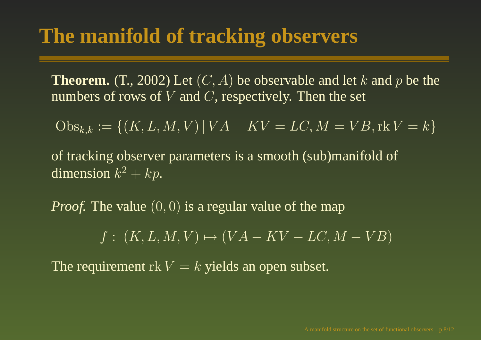**Theorem.** (T., 2002) Let  $(C, A)$  be observable and let k and p be the numbers of rows of  $V$  and  $C,$  respectively. Then the set

$$
Obs_{k,k} := \{(K, L, M, V) | VA - KV = LC, M = VB, \text{rk } V = k\}
$$

of tracking observer parameters is <sup>a</sup> smooth (sub)manifold of dimension  $k^2 + kp$ .

*Proof.* The value  $(0, 0)$  is a regular value of the map

 $f: (K, L, M, V) \mapsto (VA - KV - LC, M - VB)$ 

The requirement  $\operatorname{rk} V = k$  yields an open subset.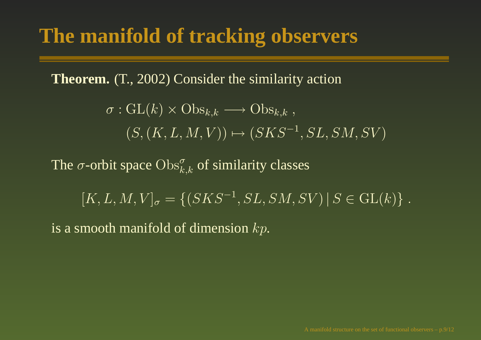**Theorem.** (T., 2002) Consider the similarity action

$$
\sigma: GL(k) \times Obs_{k,k} \longrightarrow Obs_{k,k},
$$
  

$$
(S, (K, L, M, V)) \mapsto (SKS^{-1}, SL, SM, SV)
$$

The  $\sigma$ -orbit space  $\mathrm{Obs}_{k,k}^{\sigma}$  of similarity classes

 $[K, L, M, V]_{\sigma} = \{(SKS^{-1}, SL, SM, SV) | S \in GL(k) \}.$ 

is a smooth manifold of dimension  $kp.$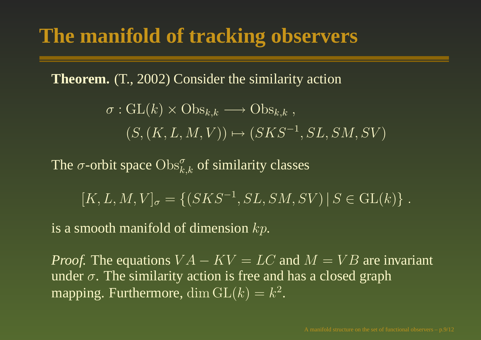**Theorem.** (T., 2002) Consider the similarity action

$$
\sigma: GL(k) \times Obs_{k,k} \longrightarrow Obs_{k,k},
$$
  

$$
(S, (K, L, M, V)) \mapsto (SKS^{-1}, SL, SM, SV)
$$

The  $\sigma$ -orbit space  $\mathrm{Obs}_{k,k}^{\sigma}$  of similarity classes

 $[K, L, M, V]_{\sigma} = \{(SKS^{-1}, SL, SM, SV) | S \in GL(k) \}.$ 

is a smooth manifold of dimension  $kp.$ 

*Proof.* The equations  $VA - KV = LC$  and  $M = VB$  are invariant under  $\sigma$ . The similarity action is free and has a closed graph mapping. Furthermore, dim  $GL(k) = k^2$ .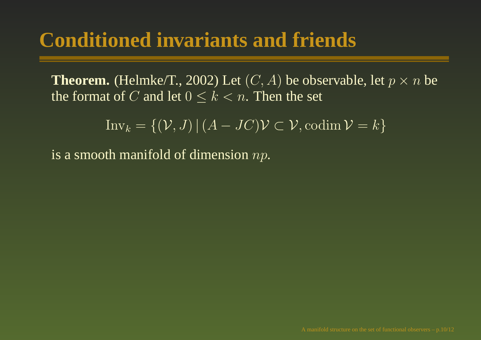# **Conditioned invariants and friends**

**Theorem.** (Helmke/T., 2002) Let  $(C, A)$  be observable, let  $p \times n$  be the format of  $C$  and let  $0\leq k < n.$  Then the set

 $\text{Inv}_k = \{(\mathcal{V},J) \,|\, (A-JC)\mathcal{V} \subset \mathcal{V}, \textrm{codim}\, \mathcal{V} = k\}$ 

is a smooth manifold of dimension  $np.$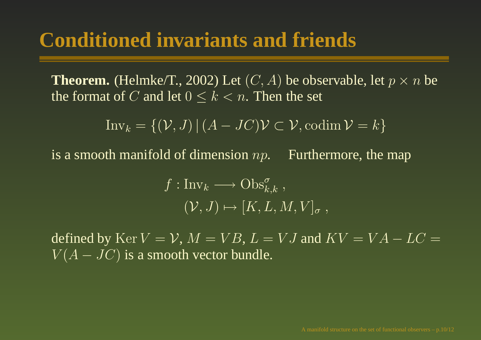#### **Conditioned invariants and friends**

**Theorem.** (Helmke/T., 2002) Let  $(C, A)$  be observable, let  $p \times n$  be the format of  $C$  and let  $0\leq k < n.$  Then the set

$$
\text{Inv}_k = \{ (\mathcal{V}, J) \, | \, (A - JC)\mathcal{V} \subset \mathcal{V}, \text{codim}\,\mathcal{V} = k \}
$$

is a smooth manifold of dimension  $np$ . Furthermore, the map

 $f: \text{Inv}_k \longrightarrow \text{Obs}_{k,k}^{\sigma}$ ,  $(V, J) \mapsto [K, L, M, V]_{\sigma}$ ,

defined by  $\operatorname{Ker} V = \mathcal{V}, M = VB, L = VJ$  and  $KV = VA - LC =$  $V(A-JC)$  is a smooth vector bundle.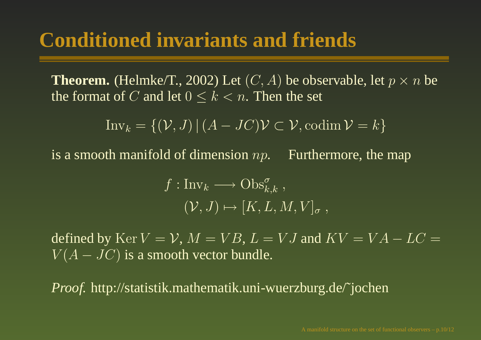## **Conditioned invariants and friends**

**Theorem.** (Helmke/T., 2002) Let  $(C, A)$  be observable, let  $p \times n$  be the format of  $C$  and let  $0\leq k < n.$  Then the set

$$
\text{Inv}_k = \{ (\mathcal{V}, J) \, | \, (A - JC)\mathcal{V} \subset \mathcal{V}, \text{codim}\, \mathcal{V} = k \}
$$

is a smooth manifold of dimension  $np$ . Furthermore, the map

 $f : Inv_k \longrightarrow \mathrm{Obs}_{k,k}^{\sigma},$  $(\overline{V}, \overline{J}) \mapsto [K, L, M, V]_{\sigma}$ ,

defined by  $\operatorname{Ker} V = \mathcal{V}, M = VB, L = VJ$  and  $KV = VA - LC =$  $V(A-JC)$  is a smooth vector bundle.

*Proof.* http://statistik.mathematik.uni-wuerzburg.de/˜jochen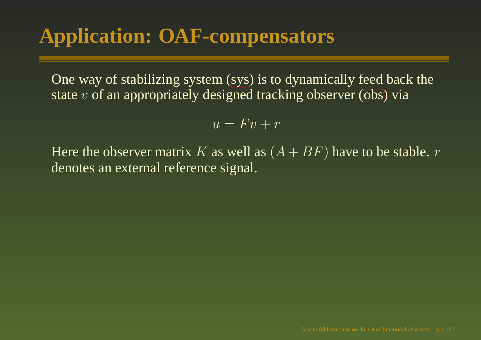# **Application: OAF-compensators**

One way of stabilizing syst[em](#page-20-0) (sys) is to dynamically feed back the state  $v$  of an appropriately designed tracking obser[ver](#page-20-0) (obs) via

$$
u = Fv + r
$$

Here the observer matrix  $K$  as well as  $(A + BF)$  have to be stable.  $r$ denotes an external reference signal.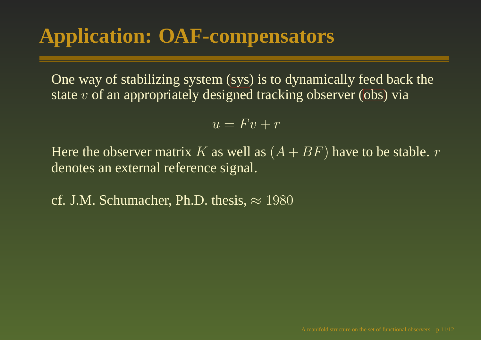# **Application: OAF-compensators**

One way of stabilizing syst[em](#page-20-0) (sys) is to dynamically feed back the state  $v$  of an appropriately designed tracking obser[ver](#page-20-0) (obs) via

$$
u = Fv + r
$$

Here the observer matrix  $K$  as well as  $(A + BF)$  have to be stable.  $r$ denotes an external reference signal.

cf. J.M. Schumacher, Ph.D. thesis,  $\approx 1980$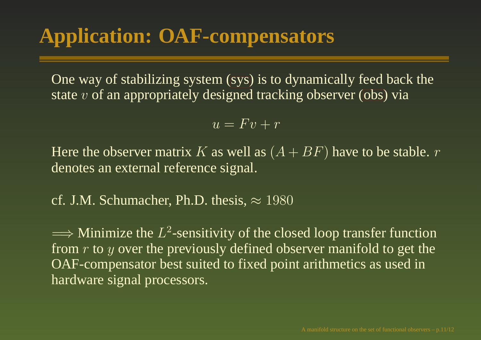One way of stabilizing syst[em](#page-20-0) (sys) is to dynamically feed back the state  $v$  of an appropriately designed tracking obser[ver](#page-20-0) (obs) via

$$
u = Fv + r
$$

Here the observer matrix  $K$  as well as  $(A + BF)$  have to be stable.  $r$ denotes an external reference signal.

cf. J.M. Schumacher, Ph.D. thesis,  $\approx 1980$ 

 $\Longrightarrow$  Minimize the  $L^2$ -sensitivity of the closed loop transfer function from  $r$  to  $y$  over the previously defined observer manifold to get the OAF-compensator best suited to fixed point arithmetics as used in hardware signal processors.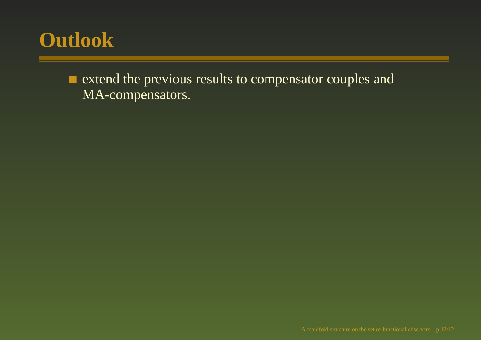# **Outlook**

ш extend the previous results to compensator couples and MA-compensators.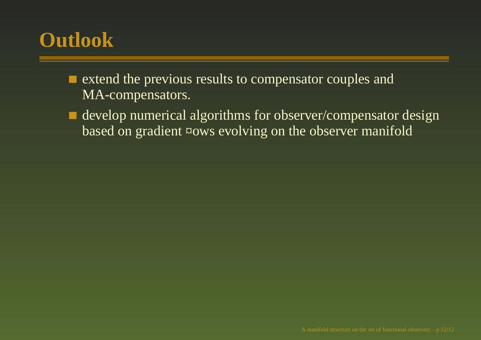# **Outlook**

- extend the previous results to compensator couples and MA-compensators.
- develop numerical algorithms for observer/compensator design based on gradient ¤ows evolving on the observer manifold